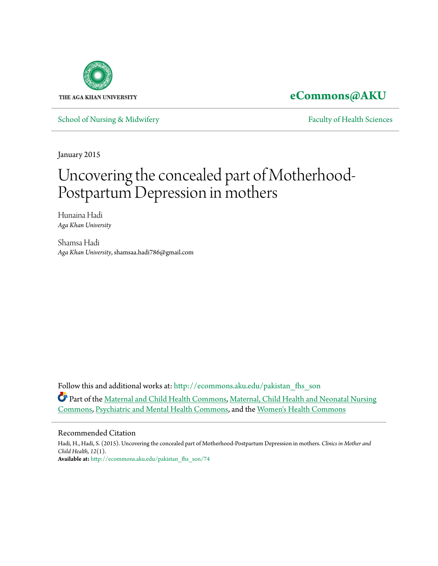

**[eCommons@AKU](http://ecommons.aku.edu?utm_source=ecommons.aku.edu%2Fpakistan_fhs_son%2F74&utm_medium=PDF&utm_campaign=PDFCoverPages)**

[School of Nursing & Midwifery](http://ecommons.aku.edu/pakistan_fhs_son?utm_source=ecommons.aku.edu%2Fpakistan_fhs_son%2F74&utm_medium=PDF&utm_campaign=PDFCoverPages) **[Faculty of Health Sciences](http://ecommons.aku.edu/pakistan_fhs?utm_source=ecommons.aku.edu%2Fpakistan_fhs_son%2F74&utm_medium=PDF&utm_campaign=PDFCoverPages)** Faculty of Health Sciences

January 2015

# Uncovering the concealed part of Motherhood-Postpartum Depression in mothers

Hunaina Hadi *Aga Khan University*

Shamsa Hadi *Aga Khan University*, shamsaa.hadi786@gmail.com

Follow this and additional works at: [http://ecommons.aku.edu/pakistan\\_fhs\\_son](http://ecommons.aku.edu/pakistan_fhs_son?utm_source=ecommons.aku.edu%2Fpakistan_fhs_son%2F74&utm_medium=PDF&utm_campaign=PDFCoverPages) Part of the [Maternal and Child Health Commons](http://network.bepress.com/hgg/discipline/745?utm_source=ecommons.aku.edu%2Fpakistan_fhs_son%2F74&utm_medium=PDF&utm_campaign=PDFCoverPages), [Maternal, Child Health and Neonatal Nursing](http://network.bepress.com/hgg/discipline/721?utm_source=ecommons.aku.edu%2Fpakistan_fhs_son%2F74&utm_medium=PDF&utm_campaign=PDFCoverPages) [Commons,](http://network.bepress.com/hgg/discipline/721?utm_source=ecommons.aku.edu%2Fpakistan_fhs_son%2F74&utm_medium=PDF&utm_campaign=PDFCoverPages) [Psychiatric and Mental Health Commons](http://network.bepress.com/hgg/discipline/711?utm_source=ecommons.aku.edu%2Fpakistan_fhs_son%2F74&utm_medium=PDF&utm_campaign=PDFCoverPages), and the [Women's Health Commons](http://network.bepress.com/hgg/discipline/1241?utm_source=ecommons.aku.edu%2Fpakistan_fhs_son%2F74&utm_medium=PDF&utm_campaign=PDFCoverPages)

# Recommended Citation

Hadi, H., Hadi, S. (2015). Uncovering the concealed part of Motherhood-Postpartum Depression in mothers. *Clinics in Mother and Child Health, 12*(1). **Available at:** [http://ecommons.aku.edu/pakistan\\_fhs\\_son/74](http://ecommons.aku.edu/pakistan_fhs_son/74)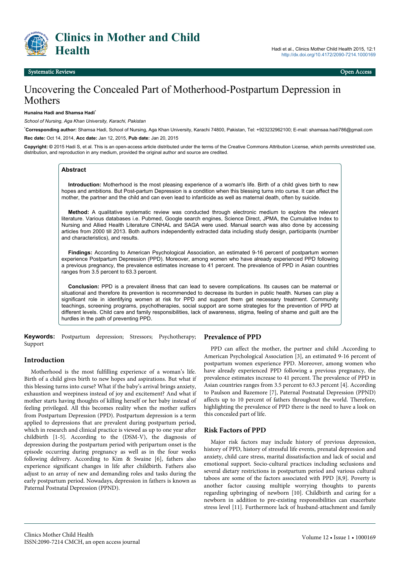

# Uncovering the Concealed Part of Motherhood-Postpartum Depression in Mothers

#### **Hunaina Hadi and Shamsa Hadi**\*

*School of Nursing, Aga Khan University, Karachi, Pakistan*

\***Corresponding author:** Shamsa Hadi, School of Nursing, Aga Khan University, Karachi 74800, Pakistan, Tel: +923232962100; E-mail: shamsaa.hadi786@gmail.com **Rec date:** Oct 14, 2014, **Acc date:** Jan 12, 2015, **Pub date:** Jan 20, 2015

**Copyright: ©** 2015 Hadi S, et al. This is an open-access article distributed under the terms of the Creative Commons Attribution License, which permits unrestricted use, distribution, and reproduction in any medium, provided the original author and source are credited.

#### **Abstract**

**Introduction:** Motherhood is the most pleasing experience of a woman's life. Birth of a child gives birth to new hopes and ambitions. But Post-partum Depression is a condition when this blessing turns into curse. It can affect the mother, the partner and the child and can even lead to infanticide as well as maternal death, often by suicide.

**Method:** A qualitative systematic review was conducted through electronic medium to explore the relevant literature. Various databases i.e. Pubmed, Google search engines, Science Direct, JPMA, the Cumulative Index to Nursing and Allied Health Literature CINHAL and SAGA were used. Manual search was also done by accessing articles from 2000 till 2013. Both authors independently extracted data including study design, participants (number and characteristics), and results.

**Findings:** According to American Psychological Association, an estimated 9-16 percent of postpartum women experience Postpartum Depression (PPD). Moreover, among women who have already experienced PPD following a previous pregnancy, the prevalence estimates increase to 41 percent. The prevalence of PPD in Asian countries ranges from 3.5 percent to 63.3 percent.

**Conclusion:** PPD is a prevalent illness that can lead to severe complications. Its causes can be maternal or situational and therefore its prevention is recommended to decrease its burden in public health. Nurses can play a significant role in identifying women at risk for PPD and support them get necessary treatment. Community teachings, screening programs, psychotherapies, social support are some strategies for the prevention of PPD at different levels. Child care and family responsibilities, lack of awareness, stigma, feeling of shame and guilt are the hurdles in the path of preventing PPD.

**Keywords:** Postpartum depression; Stressors; Psychotherapy; Support

## **Introduction**

Motherhood is the most fulfilling experience of a woman's life. Birth of a child gives birth to new hopes and aspirations. But what if this blessing turns into curse? What if the baby's arrival brings anxiety, exhaustion and weepiness instead of joy and excitement? And what if mother starts having thoughts of killing herself or her baby instead of feeling privileged. All this becomes reality when the mother suffers from Postpartum Depression (PPD). Postpartum depression is a term applied to depressions that are prevalent during postpartum period, which in research and clinical practice is viewed as up to one year after childbirth [1-5]. According to the (DSM-V), the diagnosis of depression during the postpartum period with peripartum onset is the episode occurring during pregnancy as well as in the four weeks following delivery. According to Kim & Swaine [6], fathers also experience significant changes in life after childbirth. Fathers also adjust to an array of new and demanding roles and tasks during the early postpartum period. Nowadays, depression in fathers is known as Paternal Postnatal Depression (PPND).

## **Prevalence of PPD**

PPD can affect the mother, the partner and child .According to American Psychological Association [3], an estimated 9-16 percent of postpartum women experience PPD. Moreover, among women who have already experienced PPD following a previous pregnancy, the prevalence estimates increase to 41 percent. The prevalence of PPD in Asian countries ranges from 3.5 percent to 63.3 percent [4]. According to Paulson and Bazemore [7], Paternal Postnatal Depression (PPND) affects up to 10 percent of fathers throughout the world. Therefore, highlighting the prevalence of PPD there is the need to have a look on this concealed part of life.

## **Risk Factors of PPD**

Major risk factors may include history of previous depression, history of PPD, history of stressful life events, prenatal depression and anxiety, child care stress, marital dissatisfaction and lack of social and emotional support. Socio-cultural practices including seclusions and several dietary restrictions in postpartum period and various cultural taboos are some of the factors associated with PPD [8,9]. Poverty is another factor causing multiple worrying thoughts to parents regarding upbringing of newborn [10]. Childbirth and caring for a newborn in addition to pre-existing responsibilities can exacerbate stress level [11]. Furthermore lack of husband-attachment and family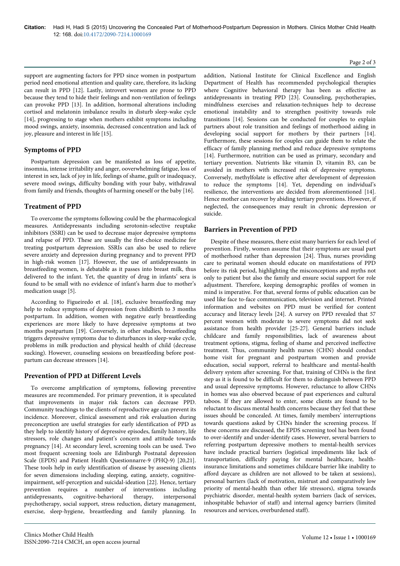support are augmenting factors for PPD since women in postpartum period need emotional attention and quality care, therefore, its lacking can result in PPD [12]. Lastly, introvert women are prone to PPD because they tend to hide their feelings and non-ventilation of feelings can provoke PPD [13]. In addition, hormonal alterations including cortisol and melatonin imbalance results in disturb sleep-wake cycle [14], progressing to stage when mothers exhibit symptoms including mood swings, anxiety, insomnia, decreased concentration and lack of joy, pleasure and interest in life [15].

# **Symptoms of PPD**

Postpartum depression can be manifested as loss of appetite, insomnia, intense irritability and anger, ooverwhelming fatigue, loss of interest in sex, lack of joy in life, feelings of shame, guilt or inadequacy, severe mood swings, difficulty bonding with your baby, withdrawal from family and friends, thoughts of harming oneself or the baby [16].

# **Treatment of PPD**

To overcome the symptoms following could be the pharmacological measures. Antidepressants including serotonin-selective reuptake inhibitors (SSRI) can be used to decrease major depressive symptoms and relapse of PPD. These are usually the first-choice medicine for treating postpartum depression. SSRIs can also be used to relieve severe anxiety and depression during pregnancy and to prevent PPD in high-risk women [17]. However, the use of antidepressants in breastfeeding women, is debatable as it passes into breast milk, thus delivered to the infant. Yet, the quantity of drug in infants' sera is found to be small with no evidence of infant's harm due to mother's medication usage [5].

According to Figueiredo et al. [18], exclusive breastfeeding may help to reduce symptoms of depression from childbirth to 3 months postpartum. In addition, women with negative early breastfeeding experiences are more likely to have depressive symptoms at two months postpartum [19]. Conversely, in other studies, breastfeeding triggers depressive symptoms due to disturbances in sleep-wake cycle, problems in milk production and physical health of child (decrease sucking). However, counseling sessions on breastfeeding before postpartum can decrease stressors [14].

# **Prevention of PPD at Different Levels**

To overcome amplification of symptoms, following preventive measures are recommended. For primary prevention, it is speculated that improvements in major risk factors can decrease PPD. Community teachings to the clients of reproductive age can prevent its incidence. Moreover, clinical assessment and risk evaluation during preconception are useful strategies for early identification of PPD as they help to identify history of depressive episodes, family history, life stressors, role changes and patient's concern and attitude towards pregnancy [14]. At secondary level, screening tools can be used. Two most frequent screening tools are Edinburgh Postnatal depression Scale (EPDS) and Patient Health Questionnarre-9 (PHQ-9) [20,21]. These tools help in early identification of disease by assessing clients for seven dimensions including sleeping, eating, anxiety, cognitiveimpairment, self-perception and suicidal-ideation [22]. Hence, tertiary prevention requires a number of interventions including antidepressants, cognitive-behavioral therapy, interpersonal psychotherapy, social support, stress reduction, dietary management, exercise, sleep-hygiene, breastfeeding and family planning. In

addition, National Institute for Clinical Excellence and English Department of Health has recommended psychological therapies where Cognitive behavioral therapy has been as effective as antidepressants in treating PPD [23]. Counseling, psychotherapies, mindfulness exercises and relaxation-techniques help to decrease emotional instability and to strengthen positivity towards role transitions [14]. Sessions can be conducted for couples to explain partners about role transition and feelings of motherhood aiding in developing social support for mothers by their partners [14]. Furthermore, these sessions for couples can guide them to relate the efficacy of family planning method and reduce depressive symptoms [14]. Furthermore, nutrition can be used as primary, secondary and tertiary prevention. Nutrients like vitamin D, vitamin B3, can be avoided in mothers with increased risk of depressive symptoms. Conversely, methylfolate is effective after development of depression to reduce the symptoms [14]. Yet, depending on individual's resilience, the interventions are decided from aforementioned [14]. Hence mother can recover by abiding tertiary preventions. However, if neglected, the consequences may result in chronic depression or suicide.

# **Barriers in Prevention of PPD**

Despite of these measures, there exist many barriers for each level of prevention. Firstly, women assume that their symptoms are usual part of motherhood rather than depression [24]. Thus, nurses providing care to perinatal women should educate on manifestations of PPD before its risk period, highlighting the misconceptions and myths not only to patient but also the family and ensure social support for role adjustment. Therefore, keeping demographic profiles of women in mind is imperative. For that, several forms of public education can be used like face to-face communication, television and internet. Printed information and websites on PPD must be verified for content accuracy and literacy levels [24]. A survey on PPD revealed that 57 percent women with moderate to severe symptoms did not seek assistance from health provider [25-27]. General barriers include childcare and family responsibilities, lack of awareness about treatment options, stigma, feeling of shame and perceived ineffective treatment. Thus, community health nurses (CHN) should conduct home visit for pregnant and postpartum women and provide education, social support, referral to healthcare and mental-health delivery system after screening. For that, training of CHNs is the first step as it is found to be difficult for them to distinguish between PPD and usual depressive symptoms. However, reluctance to allow CHNs in homes was also observed because of past experiences and cultural taboos. If they are allowed to enter, some clients are found to be reluctant to discuss mental health concerns because they feel that these issues should be concealed. At times, family members' interruptions towards questions asked by CHNs hinder the screening process. If these concerns are discussed, the EPDS screening tool has been found to over-identify and under-identify cases. However, several barriers to referring postpartum depressive mothers to mental-health services have include practical barriers (logistical impediments like lack of transportation, difficulty paying for mental healthcare, healthinsurance limitations and sometimes childcare barrier like inability to afford daycare as children are not allowed to be taken at sessions), personal barriers (lack of motivation, mistrust and comparatively low priority of mental-health than other life stressors), stigma towards psychiatric disorder, mental-health system barriers (lack of services, inhospitable behavior of staff) and internal agency barriers (limited resources and services, overburdened staff).

#### Page 2 of 3